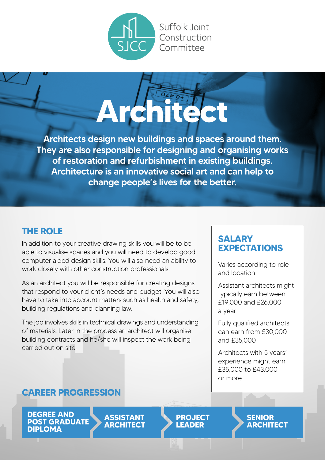

Suffolk loint Construction Committee



Architects design new buildings and spaces around them. They are also responsible for designing and organising works of restoration and refurbishment in existing buildings. Architecture is an innovative social art and can help to change people's lives for the better.

### **THE ROLE**

In addition to your creative drawing skills you will be to be able to visualise spaces and you will need to develop good computer aided design skills. You will also need an ability to work closely with other construction professionals.

As an architect you will be responsible for creating designs that respond to your client's needs and budget. You will also have to take into account matters such as health and safety, building regulations and planning law.

The iob involves skills in technical drawings and understanding of materials. Later in the process an architect will organise building contracts and he/she will inspect the work being carried out on site.

#### **SALARY EXPECTATIONS**

Varies according to role and location

Assistant architects might typically earn between £19,000 and £26,000 a year

Fully qualified architects can earn from £30,000 and £35,000

Architects with 5 years' experience might earn £35,000 to £43,000 or more

#### **CAREER PROGRESSION**

**DEGREE AND POST GRADUATE DIPLOMA**

**ASSISTANT ARCHITECT** **PROJECT LEADER**

**SENIOR ARCHITECT**